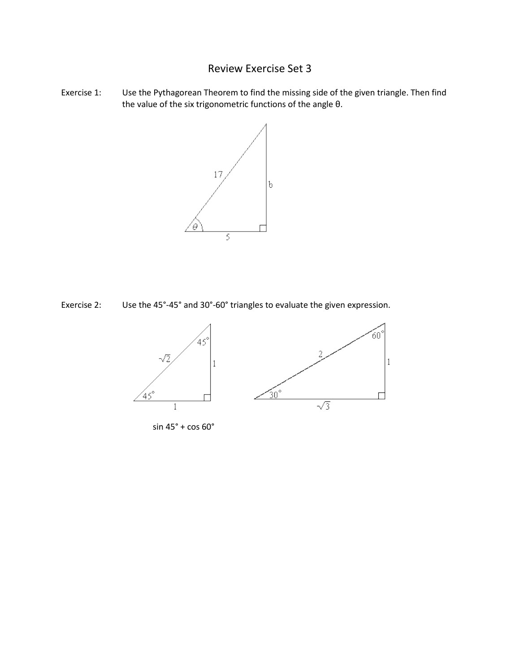## Review Exercise Set 3

Exercise 1: Use the Pythagorean Theorem to find the missing side of the given triangle. Then find the value of the six trigonometric functions of the angle θ.



Exercise 2: Use the 45°-45° and 30°-60° triangles to evaluate the given expression.



sin 45° + cos 60°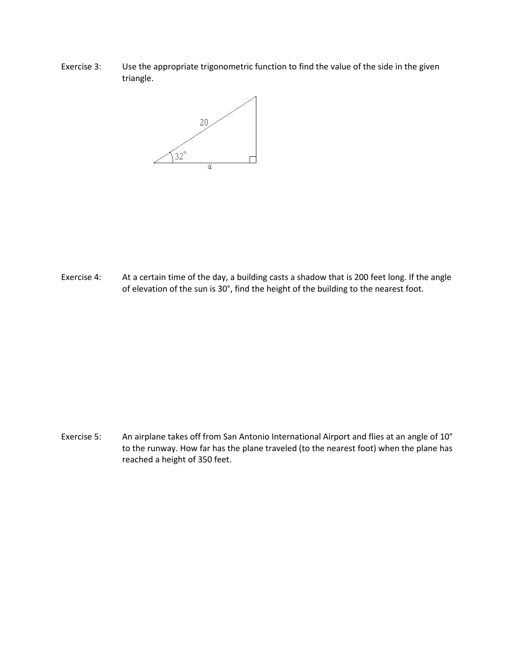Exercise 3: Use the appropriate trigonometric function to find the value of the side in the given triangle.



Exercise 4: At a certain time of the day, a building casts a shadow that is 200 feet long. If the angle of elevation of the sun is 30°, find the height of the building to the nearest foot.

Exercise 5: An airplane takes off from San Antonio International Airport and flies at an angle of 10° to the runway. How far has the plane traveled (to the nearest foot) when the plane has reached a height of 350 feet.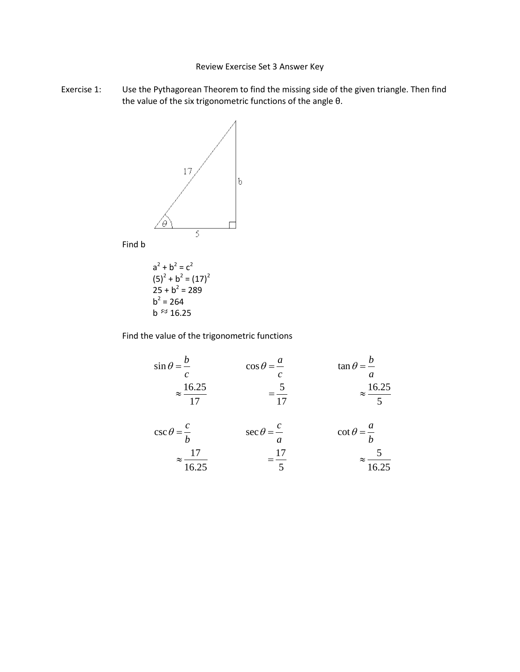## Review Exercise Set 3 Answer Key

Exercise 1: Use the Pythagorean Theorem to find the missing side of the given triangle. Then find the value of the six trigonometric functions of the angle θ.



Find b

$$
a2 + b2 = c2
$$
  
(5)<sup>2</sup> + b<sup>2</sup> = (17)<sup>2</sup>  
25 + b<sup>2</sup> = 289  
b<sup>2</sup> = 264  
b ≈ 16.25

Find the value of the trigonometric functions

$$
\sin \theta = \frac{b}{c}
$$
\n
$$
\cos \theta = \frac{a}{c}
$$
\n
$$
\tan \theta = \frac{b}{a}
$$
\n
$$
\frac{16.25}{17} = \frac{5}{17}
$$
\n
$$
\tan \theta = \frac{b}{a}
$$
\n
$$
\approx \frac{16.25}{5}
$$

$$
\csc \theta = \frac{c}{b} \qquad \sec \theta = \frac{c}{a} \qquad \cot \theta = \frac{a}{b}
$$

$$
\approx \frac{17}{16.25} \qquad \qquad = \frac{17}{5} \qquad \qquad \approx \frac{5}{16.25}
$$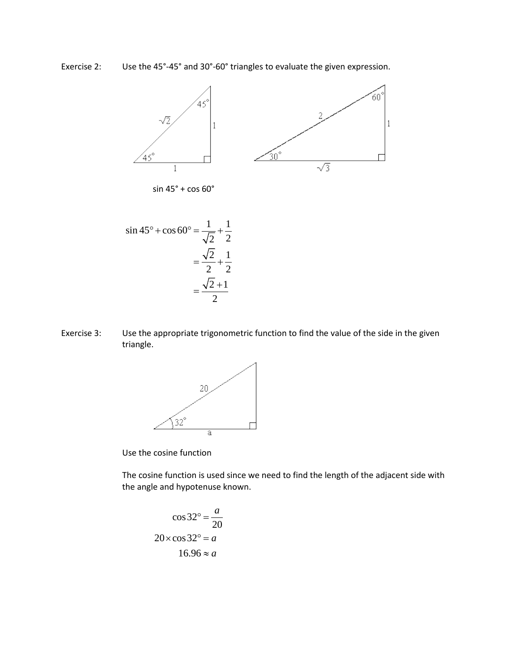Use the 45°-45° and 30°-60° triangles to evaluate the given expression. Exercise 2:



Use the appropriate trigonometric function to find the value of the side in the given Exercise 3: triangle.



Use the cosine function

The cosine function is used since we need to find the length of the adjacent side with the angle and hypotenuse known.

$$
\cos 32^\circ = \frac{a}{20}
$$

$$
20 \times \cos 32^\circ = a
$$

$$
16.96 \approx a
$$